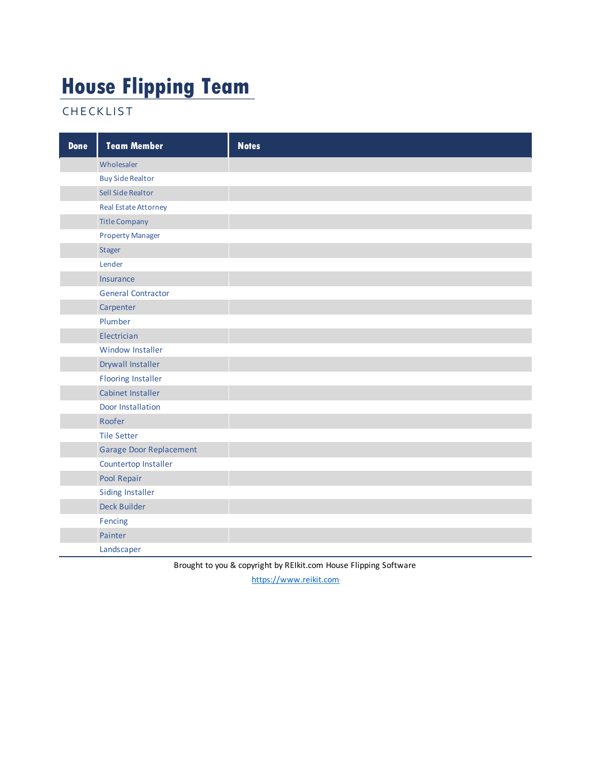#### **House Flipping Team**

**CHECKLIST** 

| <b>Done</b> | <b>Team Member</b>             | <b>Notes</b> |
|-------------|--------------------------------|--------------|
|             | Wholesaler                     |              |
|             | <b>Buy Side Realtor</b>        |              |
|             | Sell Side Realtor              |              |
|             | <b>Real Estate Attorney</b>    |              |
|             | <b>Title Company</b>           |              |
|             | <b>Property Manager</b>        |              |
|             | Stager                         |              |
|             | Lender                         |              |
|             | Insurance                      |              |
|             | <b>General Contractor</b>      |              |
|             | Carpenter                      |              |
|             | Plumber                        |              |
|             | Electrician                    |              |
|             | Window Installer               |              |
|             | <b>Drywall Installer</b>       |              |
|             | <b>Flooring Installer</b>      |              |
|             | Cabinet Installer              |              |
|             | Door Installation              |              |
|             | Roofer                         |              |
|             | <b>Tile Setter</b>             |              |
|             | <b>Garage Door Replacement</b> |              |
|             | Countertop Installer           |              |
|             | Pool Repair                    |              |
|             | <b>Siding Installer</b>        |              |
|             | Deck Builder                   |              |
|             | Fencing                        |              |
|             | Painter                        |              |
|             | Landscaper                     |              |

Brought to you & copyright by REIkit.com House Flipping Software

https://www.reikit.com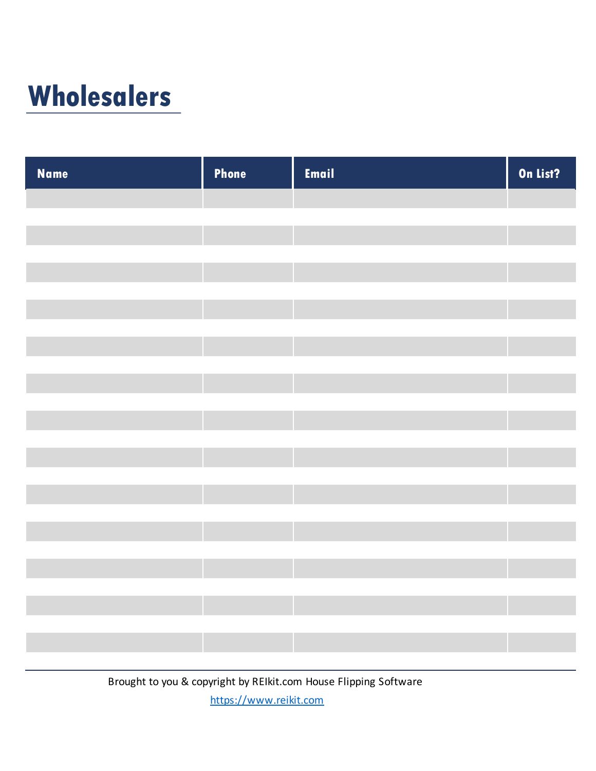## **Wholesalers**

| Name | <b>Phone</b> | Email | On List? |
|------|--------------|-------|----------|
|      |              |       |          |
|      |              |       |          |
|      |              |       |          |
|      |              |       |          |
|      |              |       |          |
|      |              |       |          |
|      |              |       |          |
|      |              |       |          |
|      |              |       |          |
|      |              |       |          |
|      |              |       |          |
|      |              |       |          |
|      |              |       |          |
|      |              |       |          |
|      |              |       |          |
|      |              |       |          |
|      |              |       |          |
|      |              |       |          |
|      |              |       |          |
|      |              |       |          |
|      |              |       |          |
|      |              |       |          |

Brought to you & copyright by REIkit.com House Flipping Software https://www.reikit.com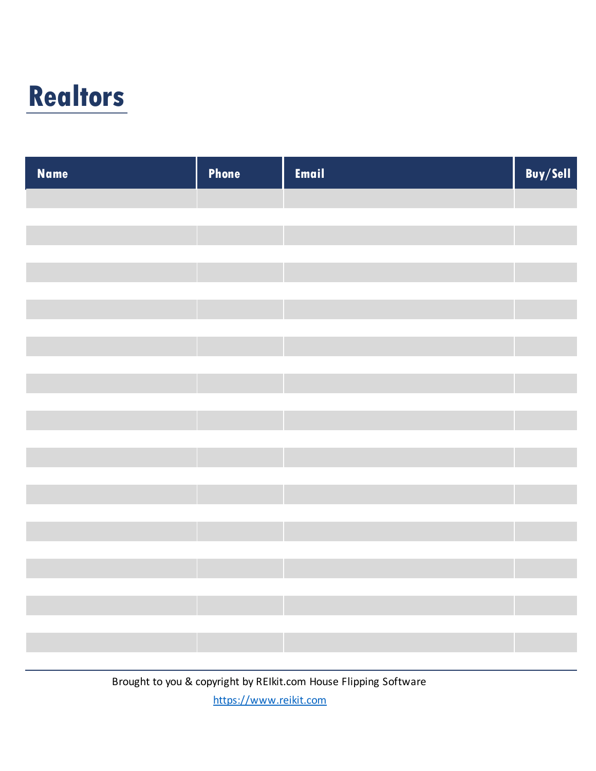## **Realtors**

| <b>Name</b> | Phone | Email | Buy/Sell |
|-------------|-------|-------|----------|
|             |       |       |          |
|             |       |       |          |
|             |       |       |          |
|             |       |       |          |
|             |       |       |          |
|             |       |       |          |
|             |       |       |          |
|             |       |       |          |
|             |       |       |          |
|             |       |       |          |
|             |       |       |          |
|             |       |       |          |
|             |       |       |          |
|             |       |       |          |
|             |       |       |          |
|             |       |       |          |
|             |       |       |          |
|             |       |       |          |
|             |       |       |          |
|             |       |       |          |
|             |       |       |          |

Brought to you & copyright by REIkit.com House Flipping Software https://www.reikit.com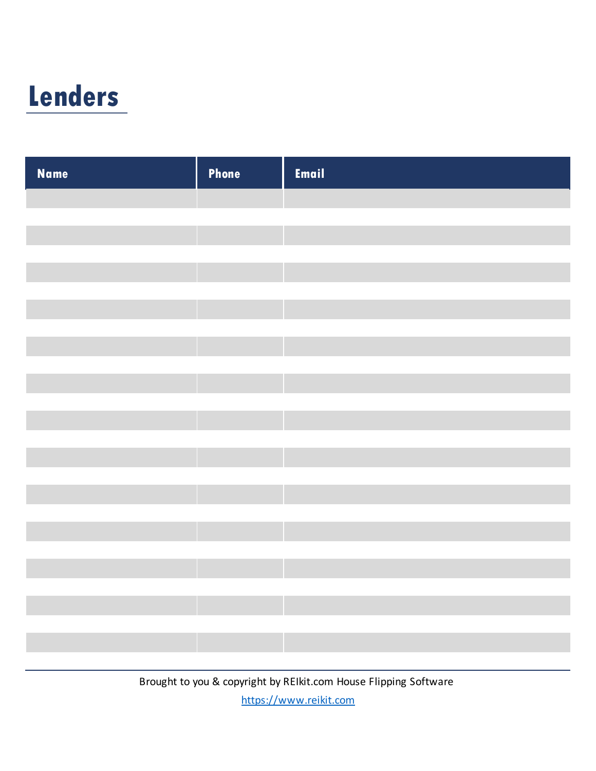## **Lenders**

| <b>Name</b> | Phone | Email |
|-------------|-------|-------|
|             |       |       |
|             |       |       |
|             |       |       |
|             |       |       |
|             |       |       |
|             |       |       |
|             |       |       |
|             |       |       |
|             |       |       |
|             |       |       |
|             |       |       |
|             |       |       |
|             |       |       |
|             |       |       |
|             |       |       |
|             |       |       |
|             |       |       |
|             |       |       |
|             |       |       |
|             |       |       |
|             |       |       |
|             |       |       |
|             |       |       |
|             |       |       |
|             |       |       |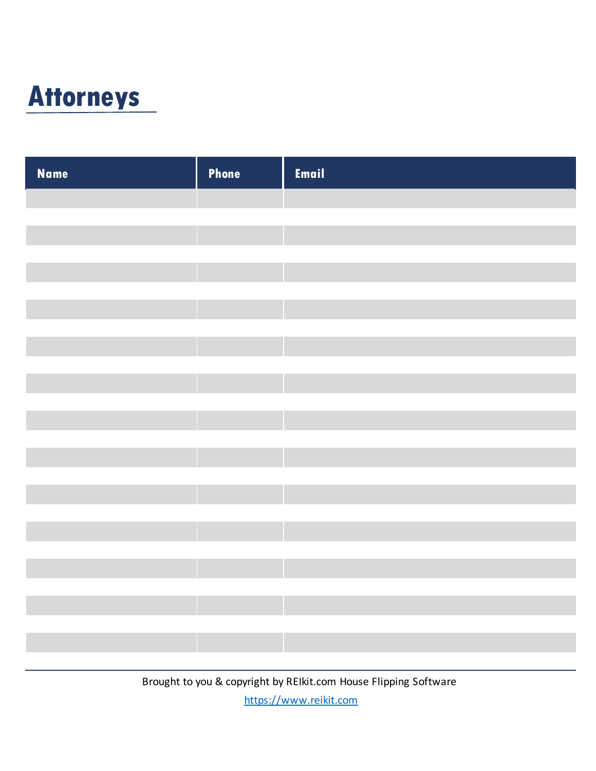

| <b>Name</b> | Phone | Email |
|-------------|-------|-------|
|             |       |       |
|             |       |       |
|             |       |       |
|             |       |       |
|             |       |       |
|             |       |       |
|             |       |       |
|             |       |       |
|             |       |       |
|             |       |       |
|             |       |       |
|             |       |       |
|             |       |       |
|             |       |       |
|             |       |       |
|             |       |       |
|             |       |       |
|             |       |       |
|             |       |       |
|             |       |       |
|             |       |       |
|             |       |       |
|             |       |       |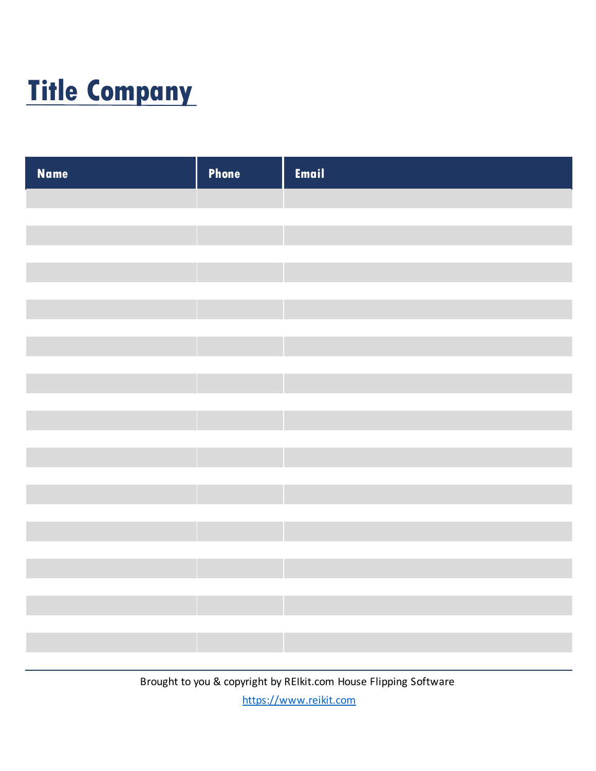# **Title Company**

| Phone | Email |
|-------|-------|
|       |       |
|       |       |
|       |       |
|       |       |
|       |       |
|       |       |
|       |       |
|       |       |
|       |       |
|       |       |
|       |       |
|       |       |
|       |       |
|       |       |
|       |       |
|       |       |
|       |       |
|       |       |
|       |       |
|       |       |
|       |       |
|       |       |
|       |       |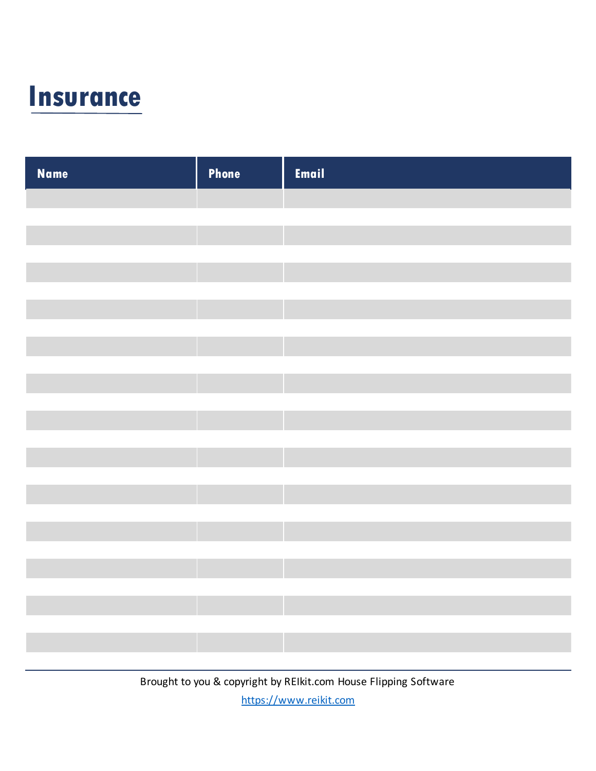

| <b>Name</b> | Phone | Email |
|-------------|-------|-------|
|             |       |       |
|             |       |       |
|             |       |       |
|             |       |       |
|             |       |       |
|             |       |       |
|             |       |       |
|             |       |       |
|             |       |       |
|             |       |       |
|             |       |       |
|             |       |       |
|             |       |       |
|             |       |       |
|             |       |       |
|             |       |       |
|             |       |       |
|             |       |       |
|             |       |       |
|             |       |       |
|             |       |       |
|             |       |       |
|             |       |       |
|             |       |       |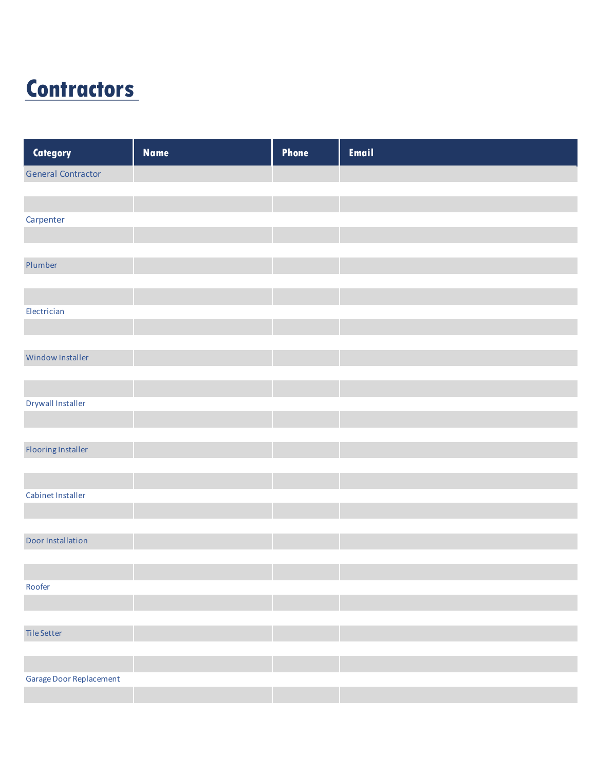### **Contractors**

| Category                  | <b>Name</b> | Phone | Email |
|---------------------------|-------------|-------|-------|
| <b>General Contractor</b> |             |       |       |
|                           |             |       |       |
|                           |             |       |       |
| Carpenter                 |             |       |       |
|                           |             |       |       |
| Plumber                   |             |       |       |
|                           |             |       |       |
|                           |             |       |       |
| Electrician               |             |       |       |
|                           |             |       |       |
|                           |             |       |       |
| <b>Window Installer</b>   |             |       |       |
|                           |             |       |       |
|                           |             |       |       |
| Drywall Installer         |             |       |       |
|                           |             |       |       |
| <b>Flooring Installer</b> |             |       |       |
|                           |             |       |       |
|                           |             |       |       |
| Cabinet Installer         |             |       |       |
|                           |             |       |       |
|                           |             |       |       |
| Door Installation         |             |       |       |
|                           |             |       |       |
|                           |             |       |       |
| Roofer                    |             |       |       |
|                           |             |       |       |
| Tile Setter               |             |       |       |
|                           |             |       |       |
|                           |             |       |       |
| Garage Door Replacement   |             |       |       |
|                           |             |       |       |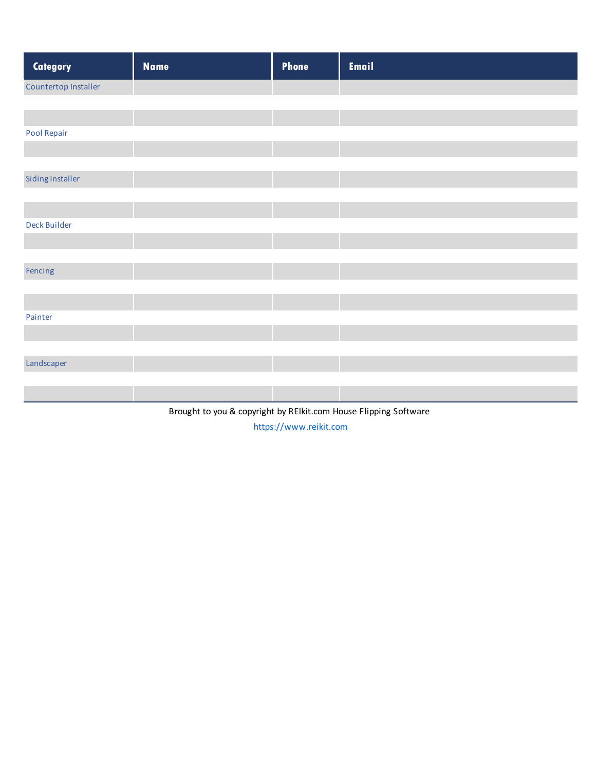| Category             | <b>Name</b> | Phone | <b>Email</b> |
|----------------------|-------------|-------|--------------|
| Countertop Installer |             |       |              |
|                      |             |       |              |
|                      |             |       |              |
| Pool Repair          |             |       |              |
|                      |             |       |              |
|                      |             |       |              |
| Siding Installer     |             |       |              |
|                      |             |       |              |
|                      |             |       |              |
| Deck Builder         |             |       |              |
|                      |             |       |              |
|                      |             |       |              |
| Fencing              |             |       |              |
|                      |             |       |              |
| Painter              |             |       |              |
|                      |             |       |              |
|                      |             |       |              |
| Landscaper           |             |       |              |
|                      |             |       |              |
|                      |             |       |              |
|                      |             |       |              |

Brought to you & copyright by REIkit.com House Flipping Software https://www.reikit.com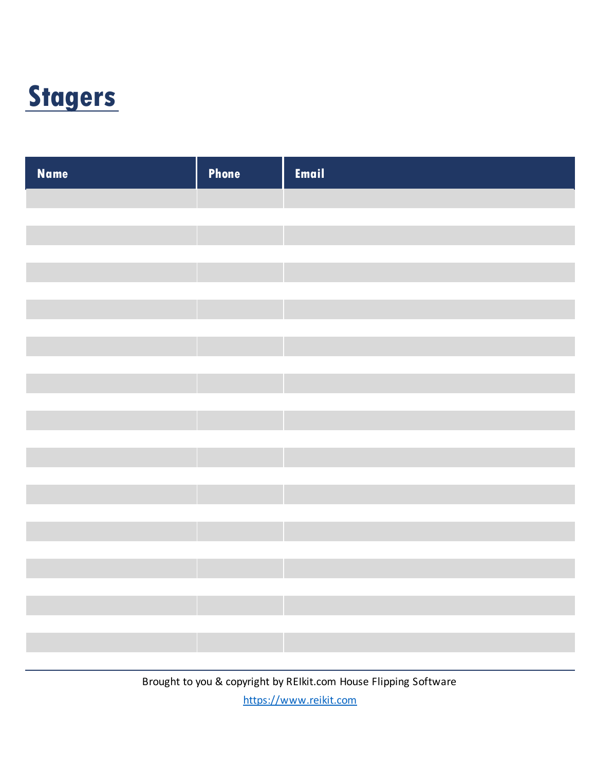### **Stagers**

| <b>Name</b> | Phone | Email |
|-------------|-------|-------|
|             |       |       |
|             |       |       |
|             |       |       |
|             |       |       |
|             |       |       |
|             |       |       |
|             |       |       |
|             |       |       |
|             |       |       |
|             |       |       |
|             |       |       |
|             |       |       |
|             |       |       |
|             |       |       |
|             |       |       |
|             |       |       |
|             |       |       |
|             |       |       |
|             |       |       |
|             |       |       |
|             |       |       |
|             |       |       |
|             |       |       |
|             |       |       |